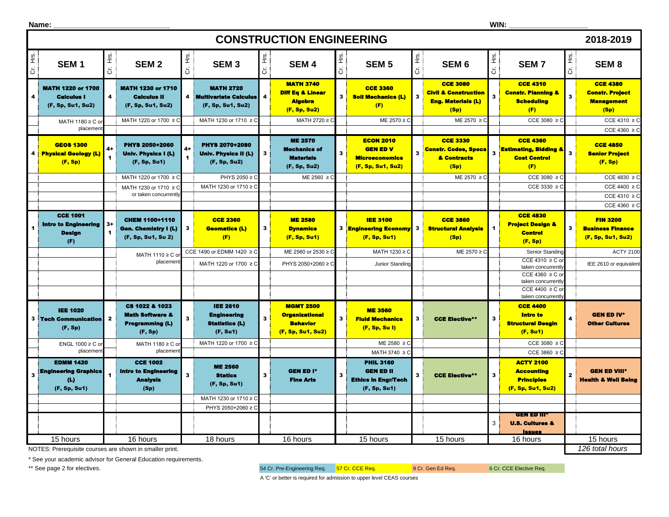|                                                                                  | <b>CONSTRUCTION ENGINEERING</b><br>2018-2019                               |                         |                                                                                       |                                 |                                                                            |                     |                                                                                          |              |                                                                                                     |                            |                                                                                          |                         |                                                                                                        |             |                                                                          |
|----------------------------------------------------------------------------------|----------------------------------------------------------------------------|-------------------------|---------------------------------------------------------------------------------------|---------------------------------|----------------------------------------------------------------------------|---------------------|------------------------------------------------------------------------------------------|--------------|-----------------------------------------------------------------------------------------------------|----------------------------|------------------------------------------------------------------------------------------|-------------------------|--------------------------------------------------------------------------------------------------------|-------------|--------------------------------------------------------------------------|
| Έ.<br>$\ddot{\sigma}$                                                            | SEM <sub>1</sub>                                                           | Cr. Hrs.                | SEM <sub>2</sub>                                                                      | $\frac{1}{2}$<br>$\overline{5}$ | SEM <sub>3</sub>                                                           | Ī<br>$\overline{5}$ | SEM <sub>4</sub>                                                                         | Cr. Hrs.     | SEM <sub>5</sub>                                                                                    | Η.<br>Ε<br>$\ddot{\sigma}$ | SEM <sub>6</sub>                                                                         | č.<br>$\ddot{\sigma}$   | <b>SEM7</b>                                                                                            | Cr. Hrs.    | SEM <sub>8</sub>                                                         |
| 4                                                                                | <b>MATH 1220 or 1700</b><br><b>Calculus I</b><br>(F, Sp, Su1, Su2)         | $\overline{\mathbf{4}}$ | <b>MATH 1230 or 1710</b><br><b>Calculus II</b><br>(F, Sp, Su1, Su2)                   |                                 | <b>MATH 2720</b><br>4 Multivariate Calculus<br>(F, Sp, Su1, Su2)           |                     | <b>MATH 3740</b><br><b>Diff Eq &amp; Linear</b><br><b>Algebra</b><br>(F, Sp, Su2)        | $\mathbf{3}$ | <b>CCE 3360</b><br><b>Soil Mechanics (L)</b><br>(F)                                                 | $\overline{\mathbf{3}}$    | <b>CCE 3080</b><br><b>Civil &amp; Construction</b><br><b>Eng. Materials (L)</b><br>(Sp)  | 3                       | <b>CCE 4310</b><br><b>Constr. Planning &amp;</b><br><b>Scheduling</b><br>(F)                           | $\bf{3}$    | <b>CCE 4380</b><br><b>Constr. Project</b><br><b>Management</b><br>(Sp)   |
|                                                                                  | MATH 1180 ≥ C or<br>placemen                                               |                         | MATH 1220 or 1700 ≥ C                                                                 |                                 | MATH 1230 or 1710 ≥ C                                                      |                     | MATH 2720 ≥ C                                                                            |              | ME 2570 ≥ C                                                                                         |                            | ME 2570 ≥ C                                                                              |                         | CCE 3080 $\geq$ C                                                                                      |             | CCE 4310 $\geq$ C<br>CCE 4360 $\geq$ C                                   |
|                                                                                  | <b>GEOS 1300</b><br>4 Physical Geology (L)<br>(F, Sp)                      | 4+                      | <b>PHYS 2050+2060</b><br>Univ. Physics I (L)<br>(F, Sp, Su1)<br>MATH 1220 or 1700 ≥ C |                                 | PHYS 2070+2080<br>Univ. Physics II (L)<br>(F, Sp, Su2)<br>PHYS 2050 ≥ C    | 3                   | <b>ME 2570</b><br><b>Mechanics of</b><br><b>Materials</b><br>(F, Sp, Su2)<br>ME 2560 ≥ C | 3            | <b>ECON 2010</b><br><b>GEN ED V</b><br><b>Microeconomics</b><br>(F, Sp, Su1, Su2)                   | 3                          | <b>CCE 3330</b><br><b>Constr. Codes, Specs</b><br>& Contracts<br>(Sp)<br>$ME 2570 \ge C$ | $\overline{\mathbf{3}}$ | <b>CCE 4360</b><br><b>Estimating, Bidding &amp;</b><br><b>Cost Control</b><br>(F)<br>CCE 3080 $\geq$ C | $\bf{3}$    | <b>CCE 4850</b><br><b>Senior Project</b><br>(F, Sp)<br>CCE 4830 $\geq$ C |
|                                                                                  |                                                                            |                         | MATH 1230 or 1710 ≥ C<br>or taken concurrently                                        |                                 | MATH 1230 or 1710 ≥ 0                                                      |                     |                                                                                          |              |                                                                                                     |                            |                                                                                          |                         | $CCE 3330 \ge 0$                                                                                       |             | CCE 4400 $\geq$ C<br>CCE 4310 $\geq$ C<br>CCE 4360 $\geq$ C              |
|                                                                                  | <b>CCE 1001</b><br><b>Intro to Engineering</b><br><b>Design</b><br>(F)     | $3+$                    | CHEM 1100+1110<br>Gen. Chemistry I (L)<br>(F, Sp, Su1, Su 2)                          | 3                               | <b>CCE 2360</b><br><b>Geomatics (L)</b><br>(F)                             | 3                   | <b>ME 2580</b><br><b>Dynamics</b><br>(F, Sp, Su1)                                        |              | <b>IEE 3100</b><br><b>3</b> Engineering Economy<br>(F, Sp, Su1)                                     | 3 <sup>1</sup>             | <b>CCE 3860</b><br><b>Structural Analysis</b><br>(Sp)                                    | $\blacktriangleleft$    | <b>CCE 4830</b><br><b>Project Design &amp;</b><br><b>Control</b><br>(F, Sp)                            | $3^{\circ}$ | <b>FIN 3200</b><br><b>Business Finance</b><br>(F, Sp, Su1, Su2)          |
|                                                                                  |                                                                            |                         | MATH 1110 ≥ C o                                                                       |                                 | CCE 1490 or EDMM 1420 ≥ C                                                  |                     | ME 2560 or 2530 ≥ 0                                                                      |              | MATH 1230 ≥ C                                                                                       |                            | ME 2570 ≥ C                                                                              |                         | Senior Standing                                                                                        |             | <b>ACTY 2100</b>                                                         |
|                                                                                  |                                                                            |                         | placement                                                                             |                                 | MATH 1220 or 1700 ≥ C                                                      |                     | PHYS 2050+2060 ≥ C                                                                       |              | Junior Standing                                                                                     |                            |                                                                                          |                         | CCE 4310 $\geq$ C o<br>taken concurrently<br>CCE 4360 $\geq$ C o                                       |             | IEE 2610 or equivalent                                                   |
|                                                                                  |                                                                            |                         |                                                                                       |                                 |                                                                            |                     |                                                                                          |              |                                                                                                     |                            |                                                                                          |                         | taken concurrently<br>CCE 4400 $\geq$ C o                                                              |             |                                                                          |
|                                                                                  |                                                                            |                         |                                                                                       |                                 |                                                                            |                     |                                                                                          |              |                                                                                                     |                            |                                                                                          |                         | taken concurrently                                                                                     |             |                                                                          |
|                                                                                  | <b>IEE 1020</b><br><b>3 Tech Communication</b><br>(F, Sp)                  | $\mathbf{2}$            | CS 1022 & 1023<br><b>Math Software &amp;</b><br><b>Programming (L)</b><br>(F, Sp)     | $\mathbf{3}$                    | <b>IEE 2610</b><br><b>Engineering</b><br><b>Statistics (L)</b><br>(F, Su1) |                     | <b>MGMT 2500</b><br><b>Organizational</b><br><b>Behavior</b><br>(F, Sp, Su1, Su2)        | $\mathbf{3}$ | <b>ME 3560</b><br><b>Fluid Mechanics</b><br>(F, Sp, Su I)                                           | 3                          | <b>CCE Elective**</b>                                                                    |                         | <b>CCE 4400</b><br>Intro to<br><b>Structural Desgin</b><br>(F, Su1)                                    | 4           | <b>GEN ED IV*</b><br><b>Other Cultures</b>                               |
|                                                                                  | ENGL 1000 ≥ C or<br>placemen                                               |                         | MATH 1180 ≥ C o<br>placemen                                                           |                                 | MATH 1220 or 1700 ≥ C                                                      |                     |                                                                                          |              | $ME 2580 \geq C$                                                                                    |                            |                                                                                          |                         | CCE 3080 $\geq$ 0                                                                                      |             |                                                                          |
| 3                                                                                | <b>EDMM 1420</b><br><b>Engineering Graphics</b><br>(L)<br>(F, Sp, Su1)     |                         | <b>CCE 1002</b><br><b>Intro to Engineering</b><br><b>Analysis</b><br>(Sp)             | $\mathbf{3}$                    | <b>ME 2560</b><br><b>Statics</b><br>(F, Sp, Su1)                           |                     | <b>GEN ED I*</b><br><b>Fine Arts</b>                                                     | $\mathbf{3}$ | MATH 3740 ≥ C<br><b>PHIL 3160</b><br><b>GEN ED II</b><br><b>Ethics in Engr/Tech</b><br>(F, Sp, Su1) |                            | <b>CCE Elective**</b>                                                                    | 3                       | CCE 3860 $\geq$ C<br><b>ACTY 2100</b><br><b>Accounting</b><br><b>Principles</b><br>(F, Sp, Su1, Su2)   | 2           | <b>GEN ED VIII*</b><br><b>Health &amp; Well Being</b>                    |
|                                                                                  |                                                                            |                         |                                                                                       |                                 | MATH 1230 or 1710 ≥ C                                                      |                     |                                                                                          |              |                                                                                                     |                            |                                                                                          |                         |                                                                                                        |             |                                                                          |
|                                                                                  |                                                                            |                         |                                                                                       |                                 | PHYS 2050+2060 ≥ C                                                         |                     |                                                                                          |              |                                                                                                     |                            |                                                                                          | 3                       | <b>GEN ED III</b><br><b>U.S. Cultures &amp;</b><br><u>Issues</u>                                       |             |                                                                          |
| 15 hours<br>16 hours<br>18 hours<br>16 hours<br>15 hours<br>15 hours<br>16 hours |                                                                            |                         |                                                                                       |                                 |                                                                            |                     |                                                                                          | 15 hours     |                                                                                                     |                            |                                                                                          |                         |                                                                                                        |             |                                                                          |
|                                                                                  | 126 total hours<br>NOTES: Prerequisite courses are shown in smaller print. |                         |                                                                                       |                                 |                                                                            |                     |                                                                                          |              |                                                                                                     |                            |                                                                                          |                         |                                                                                                        |             |                                                                          |

NOTES: Prerequisite courses are shown in smaller print.

\* See your academic advisor for General Education requirements.

\*\* See page 2 for electives. **54 Cr. Pre-Engineering Req.** 57 Cr. CCE Req. 9 Cr. Gen Ed Req. 6 Cr. CCE Elective Req.

A 'C' or better is required for admission to upper level CEAS courses